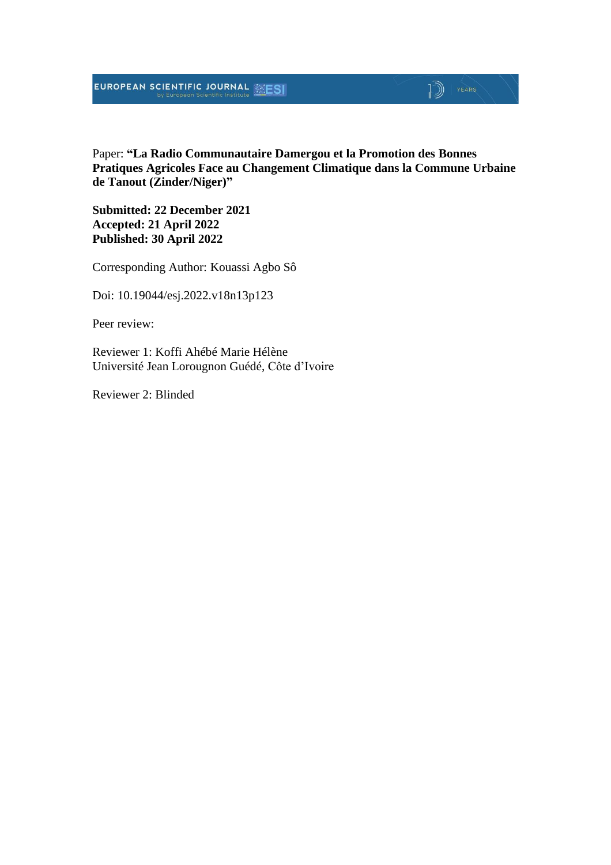## **EUROPEAN SCIENTIFIC JOURNAL EXESI**

## $\mathbb{D}$   $\mathbb{P}$   $\mathbb{P}$   $\mathbb{P}$   $\mathbb{P}$   $\mathbb{P}$   $\mathbb{P}$   $\mathbb{P}$   $\mathbb{P}$   $\mathbb{P}$   $\mathbb{P}$   $\mathbb{P}$   $\mathbb{P}$   $\mathbb{P}$   $\mathbb{P}$   $\mathbb{P}$   $\mathbb{P}$   $\mathbb{P}$   $\mathbb{P}$   $\mathbb{P}$   $\mathbb{P}$   $\mathbb{P}$   $\mathbb{P}$   $\mathbb{P}$   $\mathbb{$

Paper: **"La Radio Communautaire Damergou et la Promotion des Bonnes Pratiques Agricoles Face au Changement Climatique dans la Commune Urbaine de Tanout (Zinder/Niger)"**

**Submitted: 22 December 2021 Accepted: 21 April 2022 Published: 30 April 2022**

Corresponding Author: Kouassi Agbo Sô

Doi: 10.19044/esj.2022.v18n13p123

Peer review:

Reviewer 1: Koffi Ahébé Marie Hélène Université Jean Lorougnon Guédé, Côte d'Ivoire

Reviewer 2: Blinded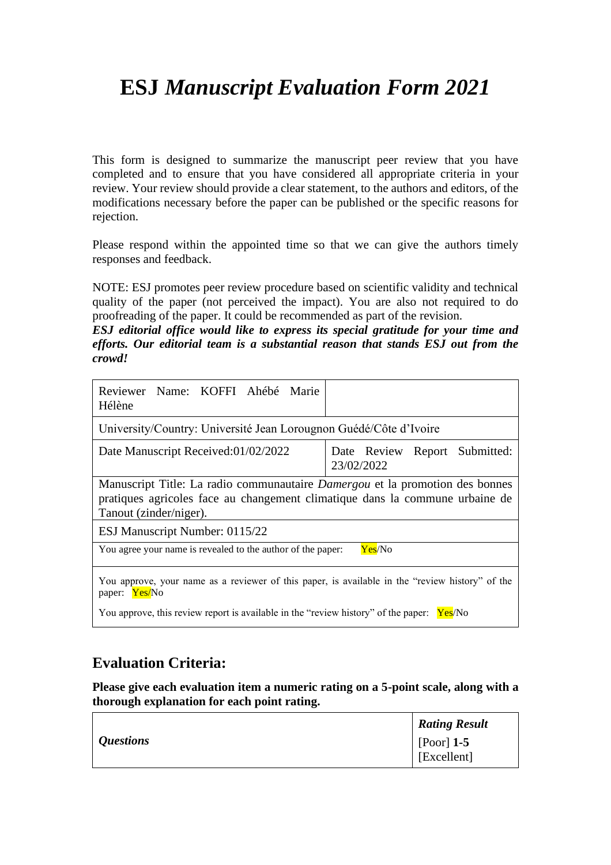# **ESJ** *Manuscript Evaluation Form 2021*

This form is designed to summarize the manuscript peer review that you have completed and to ensure that you have considered all appropriate criteria in your review. Your review should provide a clear statement, to the authors and editors, of the modifications necessary before the paper can be published or the specific reasons for rejection.

Please respond within the appointed time so that we can give the authors timely responses and feedback.

NOTE: ESJ promotes peer review procedure based on scientific validity and technical quality of the paper (not perceived the impact). You are also not required to do proofreading of the paper. It could be recommended as part of the revision.

*ESJ editorial office would like to express its special gratitude for your time and efforts. Our editorial team is a substantial reason that stands ESJ out from the crowd!*

| Reviewer Name: KOFFI Ahébé Marie<br>Hélène                                                                                                                                             |                                                |  |
|----------------------------------------------------------------------------------------------------------------------------------------------------------------------------------------|------------------------------------------------|--|
| University/Country: Université Jean Lorougnon Guédé/Côte d'Ivoire                                                                                                                      |                                                |  |
| Date Manuscript Received:01/02/2022                                                                                                                                                    | Report Submitted:<br>Date Review<br>23/02/2022 |  |
| Manuscript Title: La radio communautaire Damergou et la promotion des bonnes<br>pratiques agricoles face au changement climatique dans la commune urbaine de<br>Tanout (zinder/niger). |                                                |  |
| ESJ Manuscript Number: 0115/22                                                                                                                                                         |                                                |  |
| You agree your name is revealed to the author of the paper:<br>Yes/No                                                                                                                  |                                                |  |
| You approve, your name as a reviewer of this paper, is available in the "review history" of the<br>paper: Yes/No                                                                       |                                                |  |
| You approve, this review report is available in the "review history" of the paper: $Yes/No$                                                                                            |                                                |  |

#### **Evaluation Criteria:**

**Please give each evaluation item a numeric rating on a 5-point scale, along with a thorough explanation for each point rating.**

|                  | <b>Rating Result</b>        |
|------------------|-----------------------------|
| <i>Questions</i> | [Poor] $1-5$<br>[Excellent] |